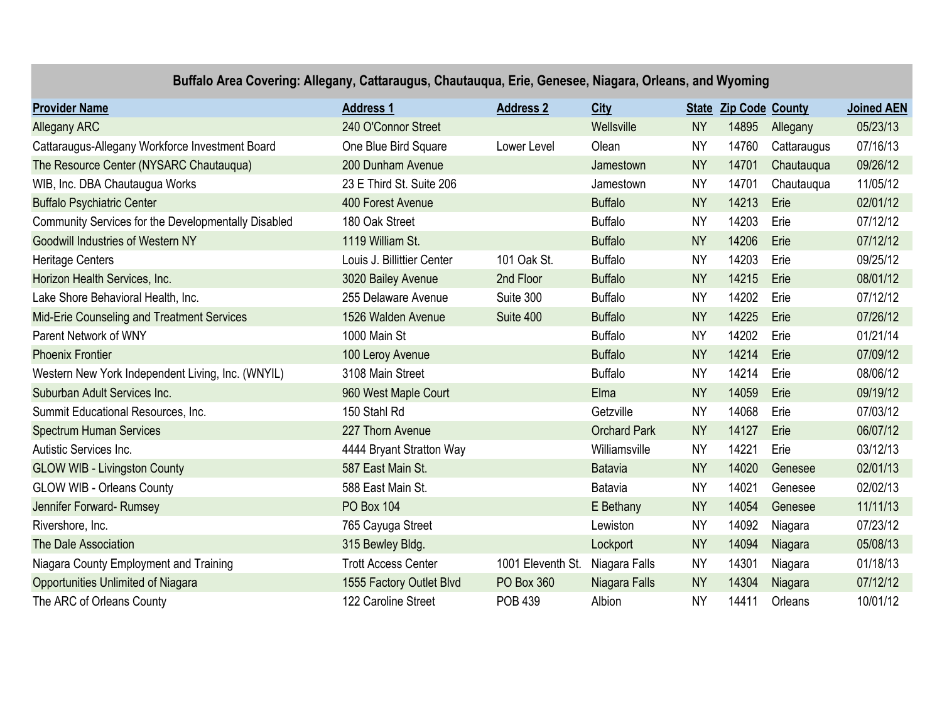| Buffalo Area Covering: Allegany, Cattaraugus, Chautauqua, Erie, Genesee, Niagara, Orleans, and Wyoming |                            |                   |                     |              |                        |             |                   |  |  |  |
|--------------------------------------------------------------------------------------------------------|----------------------------|-------------------|---------------------|--------------|------------------------|-------------|-------------------|--|--|--|
| <b>Provider Name</b>                                                                                   | <b>Address 1</b>           | <b>Address 2</b>  | <b>City</b>         | <b>State</b> | <b>Zip Code County</b> |             | <b>Joined AEN</b> |  |  |  |
| <b>Allegany ARC</b>                                                                                    | 240 O'Connor Street        |                   | Wellsville          | <b>NY</b>    | 14895                  | Allegany    | 05/23/13          |  |  |  |
| Cattaraugus-Allegany Workforce Investment Board                                                        | One Blue Bird Square       | Lower Level       | Olean               | <b>NY</b>    | 14760                  | Cattaraugus | 07/16/13          |  |  |  |
| The Resource Center (NYSARC Chautauqua)                                                                | 200 Dunham Avenue          |                   | Jamestown           | <b>NY</b>    | 14701                  | Chautauqua  | 09/26/12          |  |  |  |
| WIB, Inc. DBA Chautaugua Works                                                                         | 23 E Third St. Suite 206   |                   | Jamestown           | <b>NY</b>    | 14701                  | Chautauqua  | 11/05/12          |  |  |  |
| <b>Buffalo Psychiatric Center</b>                                                                      | 400 Forest Avenue          |                   | <b>Buffalo</b>      | <b>NY</b>    | 14213                  | Erie        | 02/01/12          |  |  |  |
| Community Services for the Developmentally Disabled                                                    | 180 Oak Street             |                   | <b>Buffalo</b>      | <b>NY</b>    | 14203                  | Erie        | 07/12/12          |  |  |  |
| Goodwill Industries of Western NY                                                                      | 1119 William St.           |                   | <b>Buffalo</b>      | <b>NY</b>    | 14206                  | Erie        | 07/12/12          |  |  |  |
| <b>Heritage Centers</b>                                                                                | Louis J. Billittier Center | 101 Oak St.       | <b>Buffalo</b>      | <b>NY</b>    | 14203                  | Erie        | 09/25/12          |  |  |  |
| Horizon Health Services, Inc.                                                                          | 3020 Bailey Avenue         | 2nd Floor         | <b>Buffalo</b>      | <b>NY</b>    | 14215                  | Erie        | 08/01/12          |  |  |  |
| Lake Shore Behavioral Health, Inc.                                                                     | 255 Delaware Avenue        | Suite 300         | <b>Buffalo</b>      | <b>NY</b>    | 14202                  | Erie        | 07/12/12          |  |  |  |
| Mid-Erie Counseling and Treatment Services                                                             | 1526 Walden Avenue         | Suite 400         | <b>Buffalo</b>      | <b>NY</b>    | 14225                  | Erie        | 07/26/12          |  |  |  |
| Parent Network of WNY                                                                                  | 1000 Main St               |                   | <b>Buffalo</b>      | <b>NY</b>    | 14202                  | Erie        | 01/21/14          |  |  |  |
| <b>Phoenix Frontier</b>                                                                                | 100 Leroy Avenue           |                   | <b>Buffalo</b>      | <b>NY</b>    | 14214                  | Erie        | 07/09/12          |  |  |  |
| Western New York Independent Living, Inc. (WNYIL)                                                      | 3108 Main Street           |                   | <b>Buffalo</b>      | <b>NY</b>    | 14214                  | Erie        | 08/06/12          |  |  |  |
| Suburban Adult Services Inc.                                                                           | 960 West Maple Court       |                   | Elma                | <b>NY</b>    | 14059                  | Erie        | 09/19/12          |  |  |  |
| Summit Educational Resources, Inc.                                                                     | 150 Stahl Rd               |                   | Getzville           | <b>NY</b>    | 14068                  | Erie        | 07/03/12          |  |  |  |
| <b>Spectrum Human Services</b>                                                                         | 227 Thorn Avenue           |                   | <b>Orchard Park</b> | <b>NY</b>    | 14127                  | Erie        | 06/07/12          |  |  |  |
| Autistic Services Inc.                                                                                 | 4444 Bryant Stratton Way   |                   | Williamsville       | <b>NY</b>    | 14221                  | Erie        | 03/12/13          |  |  |  |
| <b>GLOW WIB - Livingston County</b>                                                                    | 587 East Main St.          |                   | Batavia             | <b>NY</b>    | 14020                  | Genesee     | 02/01/13          |  |  |  |
| <b>GLOW WIB - Orleans County</b>                                                                       | 588 East Main St.          |                   | Batavia             | <b>NY</b>    | 14021                  | Genesee     | 02/02/13          |  |  |  |
| Jennifer Forward- Rumsey                                                                               | <b>PO Box 104</b>          |                   | E Bethany           | <b>NY</b>    | 14054                  | Genesee     | 11/11/13          |  |  |  |
| Rivershore, Inc.                                                                                       | 765 Cayuga Street          |                   | Lewiston            | <b>NY</b>    | 14092                  | Niagara     | 07/23/12          |  |  |  |
| The Dale Association                                                                                   | 315 Bewley Bldg.           |                   | Lockport            | <b>NY</b>    | 14094                  | Niagara     | 05/08/13          |  |  |  |
| Niagara County Employment and Training                                                                 | <b>Trott Access Center</b> | 1001 Eleventh St. | Niagara Falls       | <b>NY</b>    | 14301                  | Niagara     | 01/18/13          |  |  |  |
| Opportunities Unlimited of Niagara                                                                     | 1555 Factory Outlet Blvd   | <b>PO Box 360</b> | Niagara Falls       | <b>NY</b>    | 14304                  | Niagara     | 07/12/12          |  |  |  |
| The ARC of Orleans County                                                                              | 122 Caroline Street        | <b>POB 439</b>    | Albion              | <b>NY</b>    | 14411                  | Orleans     | 10/01/12          |  |  |  |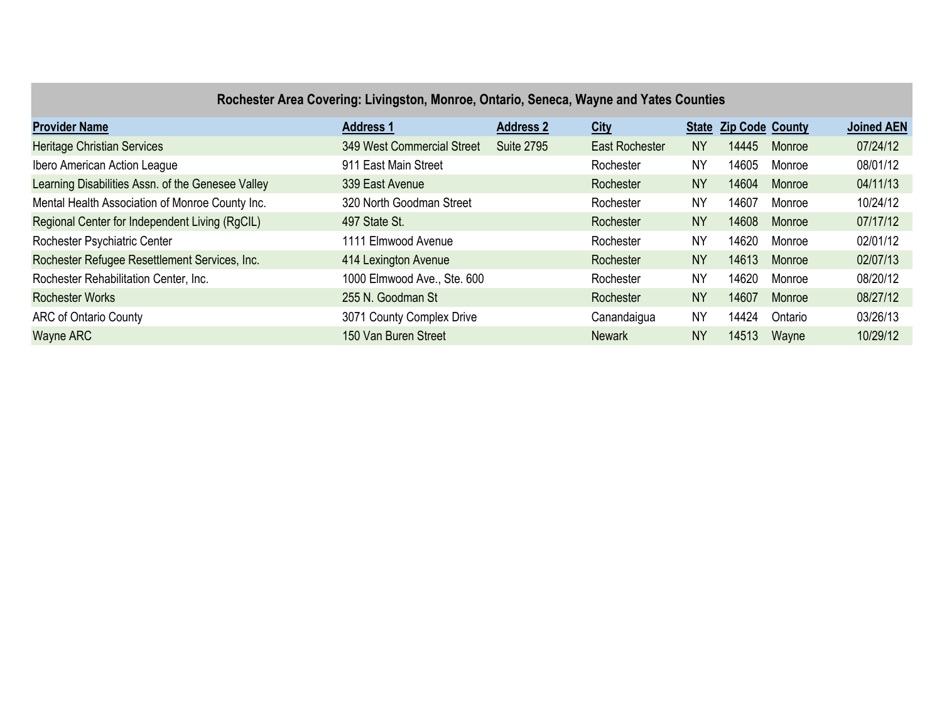| Rochester Area Covering: Livingston, Monroe, Ontario, Seneca, Wayne and Yates Counties |                             |                   |                |           |                              |         |                   |  |  |  |  |
|----------------------------------------------------------------------------------------|-----------------------------|-------------------|----------------|-----------|------------------------------|---------|-------------------|--|--|--|--|
| <b>Provider Name</b>                                                                   | <b>Address 1</b>            | <b>Address 2</b>  | <b>City</b>    |           | <b>State Zip Code County</b> |         | <b>Joined AEN</b> |  |  |  |  |
| <b>Heritage Christian Services</b>                                                     | 349 West Commercial Street  | <b>Suite 2795</b> | East Rochester | <b>NY</b> | 14445                        | Monroe  | 07/24/12          |  |  |  |  |
| Ibero American Action League                                                           | 911 East Main Street        |                   | Rochester      | <b>NY</b> | 14605                        | Monroe  | 08/01/12          |  |  |  |  |
| Learning Disabilities Assn. of the Genesee Valley                                      | 339 East Avenue             |                   | Rochester      | <b>NY</b> | 14604                        | Monroe  | 04/11/13          |  |  |  |  |
| Mental Health Association of Monroe County Inc.                                        | 320 North Goodman Street    |                   | Rochester      | <b>NY</b> | 14607                        | Monroe  | 10/24/12          |  |  |  |  |
| Regional Center for Independent Living (RgCIL)                                         | 497 State St.               |                   | Rochester      | <b>NY</b> | 14608                        | Monroe  | 07/17/12          |  |  |  |  |
| Rochester Psychiatric Center                                                           | 1111 Elmwood Avenue         |                   | Rochester      | <b>NY</b> | 14620                        | Monroe  | 02/01/12          |  |  |  |  |
| Rochester Refugee Resettlement Services, Inc.                                          | 414 Lexington Avenue        |                   | Rochester      | <b>NY</b> | 14613                        | Monroe  | 02/07/13          |  |  |  |  |
| Rochester Rehabilitation Center, Inc.                                                  | 1000 Elmwood Ave., Ste. 600 |                   | Rochester      | <b>NY</b> | 14620                        | Monroe  | 08/20/12          |  |  |  |  |
| <b>Rochester Works</b>                                                                 | 255 N. Goodman St           |                   | Rochester      | <b>NY</b> | 14607                        | Monroe  | 08/27/12          |  |  |  |  |
| ARC of Ontario County                                                                  | 3071 County Complex Drive   |                   | Canandaigua    | <b>NY</b> | 14424                        | Ontario | 03/26/13          |  |  |  |  |
| Wayne ARC                                                                              | 150 Van Buren Street        |                   | <b>Newark</b>  | <b>NY</b> | 14513                        | Wayne   | 10/29/12          |  |  |  |  |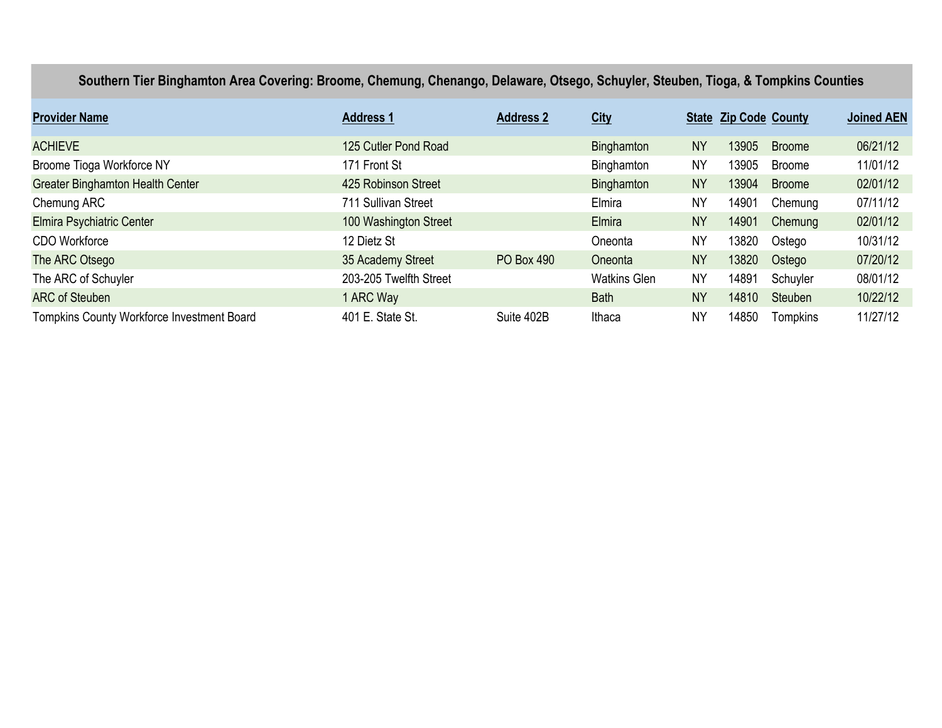# **Southern Tier Binghamton Area Covering: Broome, Chemung, Chenango, Delaware, Otsego, Schuyler, Steuben, Tioga, & Tompkins Counties**

| <b>Provider Name</b>                       | <b>Address 1</b>       | <b>Address 2</b>  | <b>City</b>         |           | <b>State Zip Code County</b> |                 | <b>Joined AEN</b> |
|--------------------------------------------|------------------------|-------------------|---------------------|-----------|------------------------------|-----------------|-------------------|
| <b>ACHIEVE</b>                             | 125 Cutler Pond Road   |                   | Binghamton          | <b>NY</b> | 13905                        | <b>Broome</b>   | 06/21/12          |
| Broome Tioga Workforce NY                  | 171 Front St           |                   | Binghamton          | <b>NY</b> | 13905                        | Broome          | 11/01/12          |
| <b>Greater Binghamton Health Center</b>    | 425 Robinson Street    |                   | Binghamton          | <b>NY</b> | 13904                        | <b>Broome</b>   | 02/01/12          |
| Chemung ARC                                | 711 Sullivan Street    |                   | Elmira              | <b>NY</b> | 14901                        | Chemung         | 07/11/12          |
| Elmira Psychiatric Center                  | 100 Washington Street  |                   | Elmira              | <b>NY</b> | 14901                        | Chemung         | 02/01/12          |
| CDO Workforce                              | 12 Dietz St            |                   | Oneonta             | <b>NY</b> | 13820                        | Ostego          | 10/31/12          |
| The ARC Otsego                             | 35 Academy Street      | <b>PO Box 490</b> | Oneonta             | <b>NY</b> | 13820                        | Ostego          | 07/20/12          |
| The ARC of Schuyler                        | 203-205 Twelfth Street |                   | <b>Watkins Glen</b> | <b>NY</b> | 14891                        | Schuyler        | 08/01/12          |
| <b>ARC of Steuben</b>                      | 1 ARC Way              |                   | <b>Bath</b>         | <b>NY</b> | 14810                        | Steuben         | 10/22/12          |
| Tompkins County Workforce Investment Board | 401 E. State St.       | Suite 402B        | Ithaca              | <b>NY</b> | 14850                        | <b>Tompkins</b> | 11/27/12          |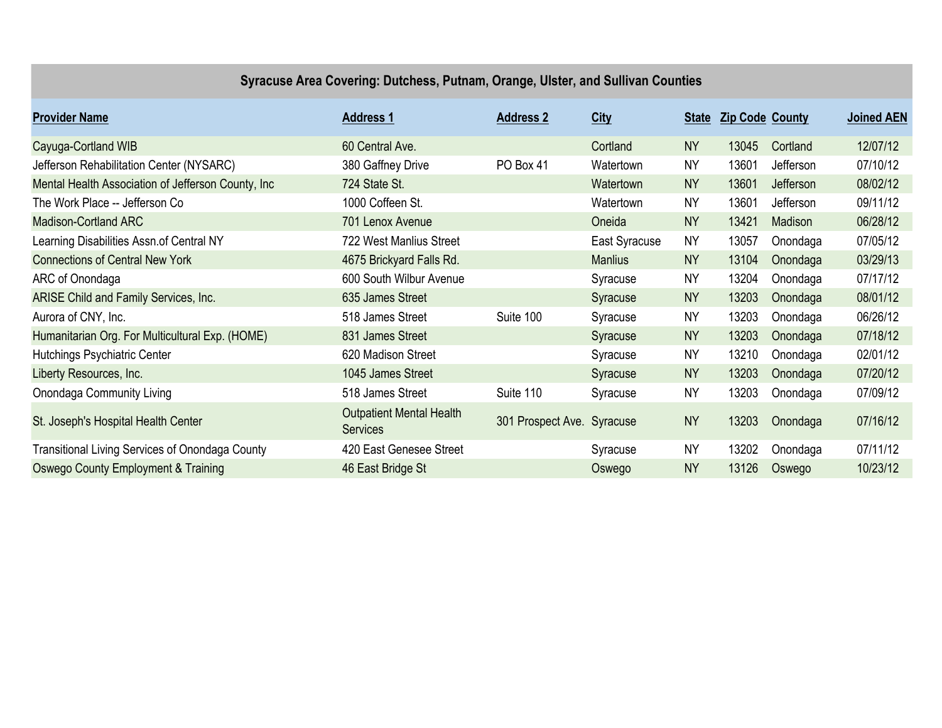# **Syracuse Area Covering: Dutchess, Putnam, Orange, Ulster, and Sullivan Counties**

| <b>Provider Name</b>                               | <b>Address 1</b>                                   | <b>Address 2</b>           | <b>City</b>    | <b>State</b> | <b>Zip Code County</b> |           | <b>Joined AEN</b> |
|----------------------------------------------------|----------------------------------------------------|----------------------------|----------------|--------------|------------------------|-----------|-------------------|
| Cayuga-Cortland WIB                                | 60 Central Ave.                                    |                            | Cortland       | <b>NY</b>    | 13045                  | Cortland  | 12/07/12          |
| Jefferson Rehabilitation Center (NYSARC)           | 380 Gaffney Drive                                  | PO Box 41                  | Watertown      | <b>NY</b>    | 13601                  | Jefferson | 07/10/12          |
| Mental Health Association of Jefferson County, Inc | 724 State St.                                      |                            | Watertown      | <b>NY</b>    | 13601                  | Jefferson | 08/02/12          |
| The Work Place -- Jefferson Co                     | 1000 Coffeen St.                                   |                            | Watertown      | <b>NY</b>    | 13601                  | Jefferson | 09/11/12          |
| <b>Madison-Cortland ARC</b>                        | 701 Lenox Avenue                                   |                            | Oneida         | <b>NY</b>    | 13421                  | Madison   | 06/28/12          |
| Learning Disabilities Assn.of Central NY           | 722 West Manlius Street                            |                            | East Syracuse  | <b>NY</b>    | 13057                  | Onondaga  | 07/05/12          |
| <b>Connections of Central New York</b>             | 4675 Brickyard Falls Rd.                           |                            | <b>Manlius</b> | <b>NY</b>    | 13104                  | Onondaga  | 03/29/13          |
| ARC of Onondaga                                    | 600 South Wilbur Avenue                            |                            | Syracuse       | <b>NY</b>    | 13204                  | Onondaga  | 07/17/12          |
| ARISE Child and Family Services, Inc.              | 635 James Street                                   |                            | Syracuse       | <b>NY</b>    | 13203                  | Onondaga  | 08/01/12          |
| Aurora of CNY, Inc.                                | 518 James Street                                   | Suite 100                  | Syracuse       | <b>NY</b>    | 13203                  | Onondaga  | 06/26/12          |
| Humanitarian Org. For Multicultural Exp. (HOME)    | 831 James Street                                   |                            | Syracuse       | <b>NY</b>    | 13203                  | Onondaga  | 07/18/12          |
| Hutchings Psychiatric Center                       | 620 Madison Street                                 |                            | Syracuse       | <b>NY</b>    | 13210                  | Onondaga  | 02/01/12          |
| Liberty Resources, Inc.                            | 1045 James Street                                  |                            | Syracuse       | <b>NY</b>    | 13203                  | Onondaga  | 07/20/12          |
| Onondaga Community Living                          | 518 James Street                                   | Suite 110                  | Syracuse       | <b>NY</b>    | 13203                  | Onondaga  | 07/09/12          |
| St. Joseph's Hospital Health Center                | <b>Outpatient Mental Health</b><br><b>Services</b> | 301 Prospect Ave. Syracuse |                | <b>NY</b>    | 13203                  | Onondaga  | 07/16/12          |
| Transitional Living Services of Onondaga County    | 420 East Genesee Street                            |                            | Syracuse       | <b>NY</b>    | 13202                  | Onondaga  | 07/11/12          |
| Oswego County Employment & Training                | 46 East Bridge St                                  |                            | Oswego         | <b>NY</b>    | 13126                  | Oswego    | 10/23/12          |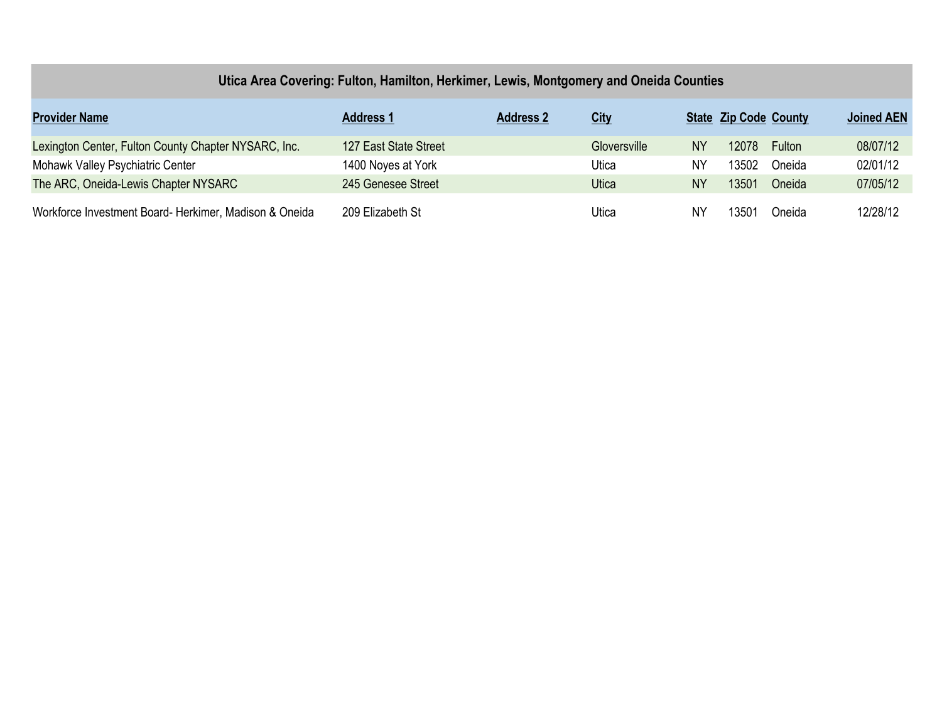| Utica Area Covering: Fulton, Hamilton, Herkimer, Lewis, Montgomery and Oneida Counties |                       |                  |              |           |                              |        |                   |  |  |  |  |
|----------------------------------------------------------------------------------------|-----------------------|------------------|--------------|-----------|------------------------------|--------|-------------------|--|--|--|--|
| <b>Provider Name</b>                                                                   | <b>Address 1</b>      | <b>Address 2</b> | <b>City</b>  |           | <b>State Zip Code County</b> |        | <b>Joined AEN</b> |  |  |  |  |
| Lexington Center, Fulton County Chapter NYSARC, Inc.                                   | 127 East State Street |                  | Gloversville | <b>NY</b> | 12078                        | Fulton | 08/07/12          |  |  |  |  |
| Mohawk Valley Psychiatric Center                                                       | 1400 Noyes at York    |                  | Utica        | ΝY        | 13502                        | Oneida | 02/01/12          |  |  |  |  |
| The ARC, Oneida-Lewis Chapter NYSARC                                                   | 245 Genesee Street    |                  | Utica        | <b>NY</b> | 13501                        | Oneida | 07/05/12          |  |  |  |  |
| Workforce Investment Board-Herkimer, Madison & Oneida                                  | 209 Elizabeth St      |                  | Utica        | N۲        | 13501                        | Oneida | 12/28/12          |  |  |  |  |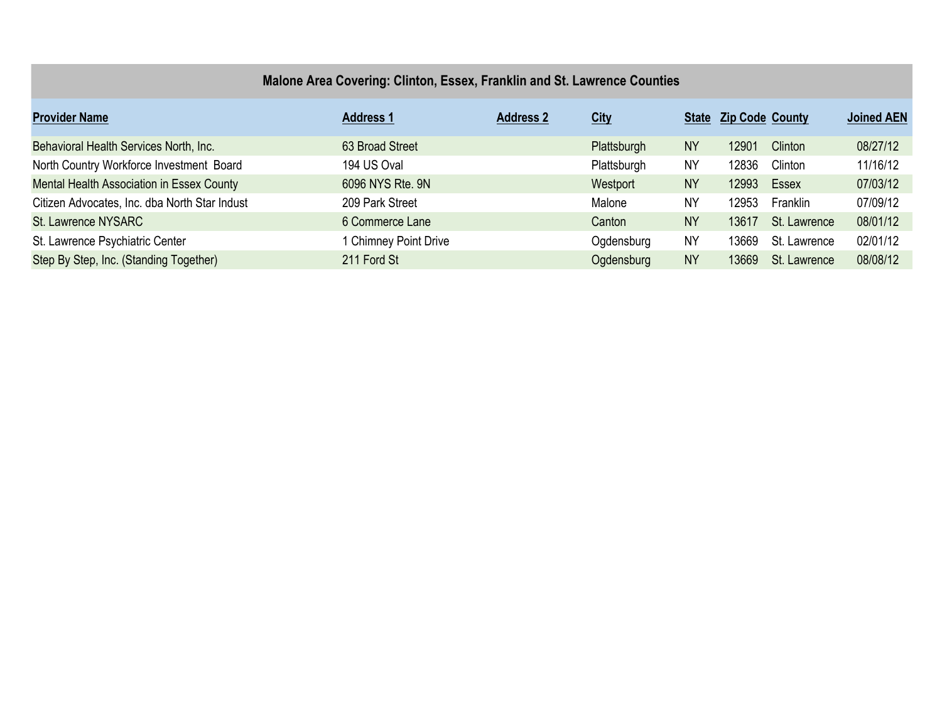| Malone Area Covering: Clinton, Essex, Franklin and St. Lawrence Counties |                       |                  |             |              |                        |              |                   |  |  |  |
|--------------------------------------------------------------------------|-----------------------|------------------|-------------|--------------|------------------------|--------------|-------------------|--|--|--|
| <b>Provider Name</b>                                                     | <b>Address 1</b>      | <b>Address 2</b> | <u>City</u> | <b>State</b> | <b>Zip Code County</b> |              | <b>Joined AEN</b> |  |  |  |
| Behavioral Health Services North, Inc.                                   | 63 Broad Street       |                  | Plattsburgh | <b>NY</b>    | 12901                  | Clinton      | 08/27/12          |  |  |  |
| North Country Workforce Investment Board                                 | 194 US Oval           |                  | Plattsburgh | <b>NY</b>    | 12836                  | Clinton      | 11/16/12          |  |  |  |
| Mental Health Association in Essex County                                | 6096 NYS Rte. 9N      |                  | Westport    | <b>NY</b>    | 12993                  | Essex        | 07/03/12          |  |  |  |
| Citizen Advocates, Inc. dba North Star Indust                            | 209 Park Street       |                  | Malone      | <b>NY</b>    | 12953                  | Franklin     | 07/09/12          |  |  |  |
| <b>St. Lawrence NYSARC</b>                                               | 6 Commerce Lane       |                  | Canton      | <b>NY</b>    | 13617                  | St. Lawrence | 08/01/12          |  |  |  |
| St. Lawrence Psychiatric Center                                          | 1 Chimney Point Drive |                  | Ogdensburg  | <b>NY</b>    | 13669                  | St. Lawrence | 02/01/12          |  |  |  |
| Step By Step, Inc. (Standing Together)                                   | 211 Ford St           |                  | Ogdensburg  | <b>NY</b>    | 13669                  | St. Lawrence | 08/08/12          |  |  |  |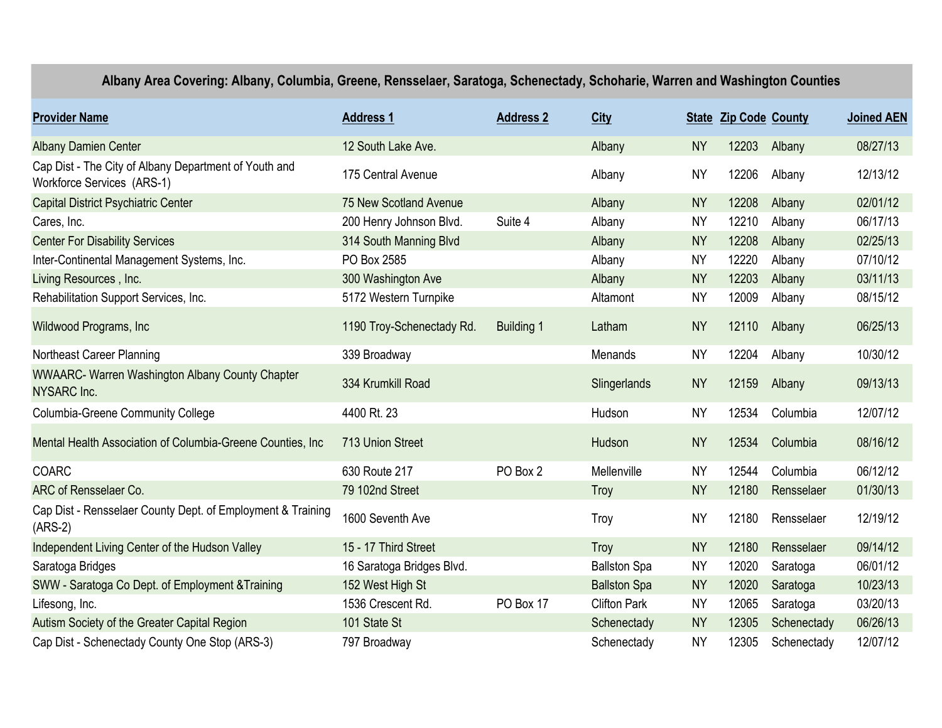# **Albany Area Covering: Albany, Columbia, Greene, Rensselaer, Saratoga, Schenectady, Schoharie, Warren and Washington Counties**

| <b>Provider Name</b>                                                                | <b>Address 1</b>          | <b>Address 2</b>  | <b>City</b>         |           | <b>State Zip Code County</b> |             | <b>Joined AEN</b> |
|-------------------------------------------------------------------------------------|---------------------------|-------------------|---------------------|-----------|------------------------------|-------------|-------------------|
| <b>Albany Damien Center</b>                                                         | 12 South Lake Ave.        |                   | Albany              | <b>NY</b> | 12203                        | Albany      | 08/27/13          |
| Cap Dist - The City of Albany Department of Youth and<br>Workforce Services (ARS-1) | 175 Central Avenue        |                   | Albany              | <b>NY</b> | 12206                        | Albany      | 12/13/12          |
| Capital District Psychiatric Center                                                 | 75 New Scotland Avenue    |                   | Albany              | <b>NY</b> | 12208                        | Albany      | 02/01/12          |
| Cares, Inc.                                                                         | 200 Henry Johnson Blvd.   | Suite 4           | Albany              | <b>NY</b> | 12210                        | Albany      | 06/17/13          |
| <b>Center For Disability Services</b>                                               | 314 South Manning Blvd    |                   | Albany              | <b>NY</b> | 12208                        | Albany      | 02/25/13          |
| Inter-Continental Management Systems, Inc.                                          | PO Box 2585               |                   | Albany              | <b>NY</b> | 12220                        | Albany      | 07/10/12          |
| Living Resources, Inc.                                                              | 300 Washington Ave        |                   | Albany              | <b>NY</b> | 12203                        | Albany      | 03/11/13          |
| Rehabilitation Support Services, Inc.                                               | 5172 Western Turnpike     |                   | Altamont            | <b>NY</b> | 12009                        | Albany      | 08/15/12          |
| Wildwood Programs, Inc.                                                             | 1190 Troy-Schenectady Rd. | <b>Building 1</b> | Latham              | <b>NY</b> | 12110                        | Albany      | 06/25/13          |
| Northeast Career Planning                                                           | 339 Broadway              |                   | Menands             | <b>NY</b> | 12204                        | Albany      | 10/30/12          |
| <b>WWAARC- Warren Washington Albany County Chapter</b><br><b>NYSARC</b> Inc.        | 334 Krumkill Road         |                   | Slingerlands        | <b>NY</b> | 12159                        | Albany      | 09/13/13          |
| Columbia-Greene Community College                                                   | 4400 Rt. 23               |                   | Hudson              | <b>NY</b> | 12534                        | Columbia    | 12/07/12          |
| Mental Health Association of Columbia-Greene Counties, Inc.                         | 713 Union Street          |                   | Hudson              | <b>NY</b> | 12534                        | Columbia    | 08/16/12          |
| <b>COARC</b>                                                                        | 630 Route 217             | PO Box 2          | Mellenville         | <b>NY</b> | 12544                        | Columbia    | 06/12/12          |
| ARC of Rensselaer Co.                                                               | 79 102nd Street           |                   | Troy                | <b>NY</b> | 12180                        | Rensselaer  | 01/30/13          |
| Cap Dist - Rensselaer County Dept. of Employment & Training<br>$(ARS-2)$            | 1600 Seventh Ave          |                   | Troy                | <b>NY</b> | 12180                        | Rensselaer  | 12/19/12          |
| Independent Living Center of the Hudson Valley                                      | 15 - 17 Third Street      |                   | Troy                | <b>NY</b> | 12180                        | Rensselaer  | 09/14/12          |
| Saratoga Bridges                                                                    | 16 Saratoga Bridges Blvd. |                   | <b>Ballston Spa</b> | <b>NY</b> | 12020                        | Saratoga    | 06/01/12          |
| SWW - Saratoga Co Dept. of Employment & Training                                    | 152 West High St          |                   | <b>Ballston Spa</b> | <b>NY</b> | 12020                        | Saratoga    | 10/23/13          |
| Lifesong, Inc.                                                                      | 1536 Crescent Rd.         | PO Box 17         | <b>Clifton Park</b> | <b>NY</b> | 12065                        | Saratoga    | 03/20/13          |
| Autism Society of the Greater Capital Region                                        | 101 State St              |                   | Schenectady         | <b>NY</b> | 12305                        | Schenectady | 06/26/13          |
| Cap Dist - Schenectady County One Stop (ARS-3)                                      | 797 Broadway              |                   | Schenectady         | <b>NY</b> | 12305                        | Schenectady | 12/07/12          |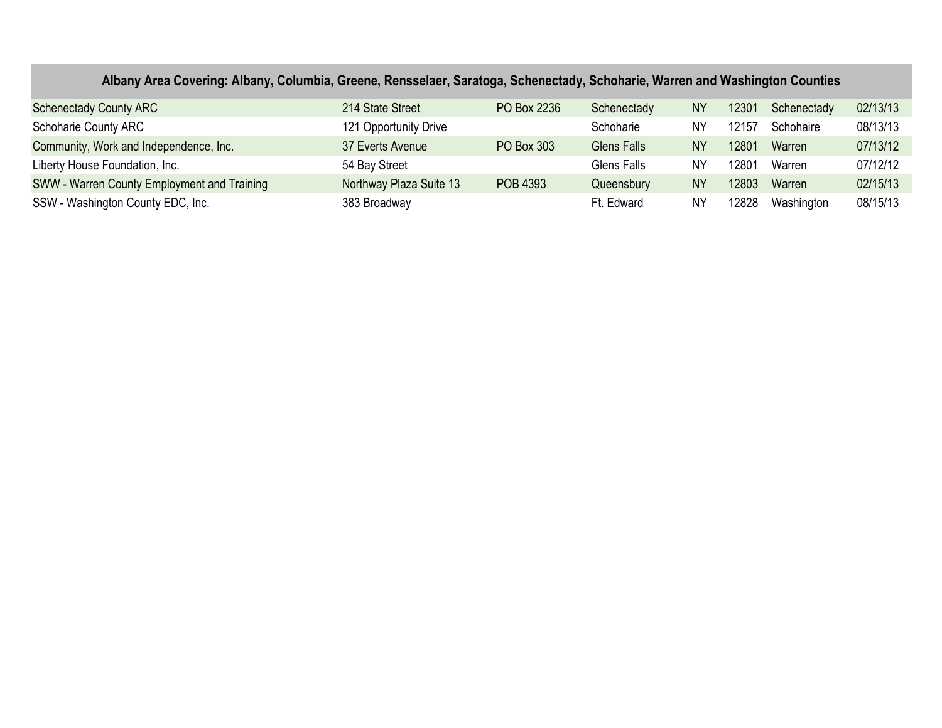## **Albany Area Covering: Albany, Columbia, Greene, Rensselaer, Saratoga, Schenectady, Schoharie, Warren and Washington Counties**

| <b>Schenectady County ARC</b>                      | 214 State Street        | PO Box 2236 | Schenectady        | NY        | 12301 | Schenectady | 02/13/13 |
|----------------------------------------------------|-------------------------|-------------|--------------------|-----------|-------|-------------|----------|
| <b>Schoharie County ARC</b>                        | 121 Opportunity Drive   |             | Schoharie          |           | 12157 | Schohaire   | 08/13/13 |
| Community, Work and Independence, Inc.             | 37 Everts Avenue        | PO Box 303  | <b>Glens Falls</b> | <b>NY</b> | 12801 | Warren      | 07/13/12 |
| Liberty House Foundation, Inc.                     | 54 Bay Street           |             | <b>Glens Falls</b> |           | 12801 | Warren      | 07/12/12 |
| <b>SWW - Warren County Employment and Training</b> | Northway Plaza Suite 13 | POB 4393    | Queensbury         | NY        | 12803 | Warren      | 02/15/13 |
| SSW - Washington County EDC, Inc.                  | 383 Broadway            |             | Ft. Edward         |           | 2828  | Washington  | 08/15/13 |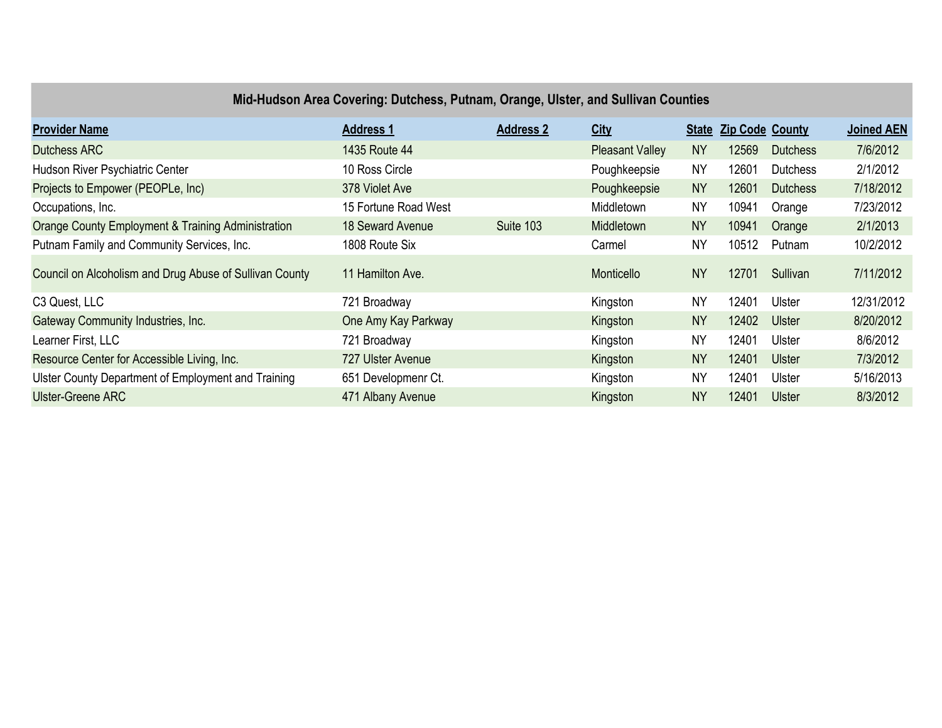| Mid-Hudson Area Covering: Dutchess, Putnam, Orange, Ulster, and Sullivan Counties |                      |                  |                        |              |                        |                 |                   |  |  |  |  |
|-----------------------------------------------------------------------------------|----------------------|------------------|------------------------|--------------|------------------------|-----------------|-------------------|--|--|--|--|
| <b>Provider Name</b>                                                              | <b>Address 1</b>     | <b>Address 2</b> | <b>City</b>            | <b>State</b> | <b>Zip Code County</b> |                 | <b>Joined AEN</b> |  |  |  |  |
| Dutchess ARC                                                                      | 1435 Route 44        |                  | <b>Pleasant Valley</b> | <b>NY</b>    | 12569                  | <b>Dutchess</b> | 7/6/2012          |  |  |  |  |
| Hudson River Psychiatric Center                                                   | 10 Ross Circle       |                  | Poughkeepsie           | <b>NY</b>    | 12601                  | <b>Dutchess</b> | 2/1/2012          |  |  |  |  |
| Projects to Empower (PEOPLe, Inc)                                                 | 378 Violet Ave       |                  | Poughkeepsie           | <b>NY</b>    | 12601                  | <b>Dutchess</b> | 7/18/2012         |  |  |  |  |
| Occupations, Inc.                                                                 | 15 Fortune Road West |                  | Middletown             | <b>NY</b>    | 10941                  | Orange          | 7/23/2012         |  |  |  |  |
| Orange County Employment & Training Administration                                | 18 Seward Avenue     | Suite 103        | Middletown             | <b>NY</b>    | 10941                  | Orange          | 2/1/2013          |  |  |  |  |
| Putnam Family and Community Services, Inc.                                        | 1808 Route Six       |                  | Carmel                 | <b>NY</b>    | 10512                  | Putnam          | 10/2/2012         |  |  |  |  |
| Council on Alcoholism and Drug Abuse of Sullivan County                           | 11 Hamilton Ave.     |                  | Monticello             | <b>NY</b>    | 12701                  | Sullivan        | 7/11/2012         |  |  |  |  |
| C3 Quest, LLC                                                                     | 721 Broadway         |                  | Kingston               | <b>NY</b>    | 12401                  | Ulster          | 12/31/2012        |  |  |  |  |
| Gateway Community Industries, Inc.                                                | One Amy Kay Parkway  |                  | Kingston               | <b>NY</b>    | 12402                  | <b>Ulster</b>   | 8/20/2012         |  |  |  |  |
| Learner First, LLC                                                                | 721 Broadway         |                  | Kingston               | <b>NY</b>    | 12401                  | Ulster          | 8/6/2012          |  |  |  |  |
| Resource Center for Accessible Living, Inc.                                       | 727 Ulster Avenue    |                  | Kingston               | <b>NY</b>    | 12401                  | <b>Ulster</b>   | 7/3/2012          |  |  |  |  |
| Ulster County Department of Employment and Training                               | 651 Developmenr Ct.  |                  | Kingston               | <b>NY</b>    | 12401                  | Ulster          | 5/16/2013         |  |  |  |  |
| <b>Ulster-Greene ARC</b>                                                          | 471 Albany Avenue    |                  | Kingston               | <b>NY</b>    | 12401                  | <b>Ulster</b>   | 8/3/2012          |  |  |  |  |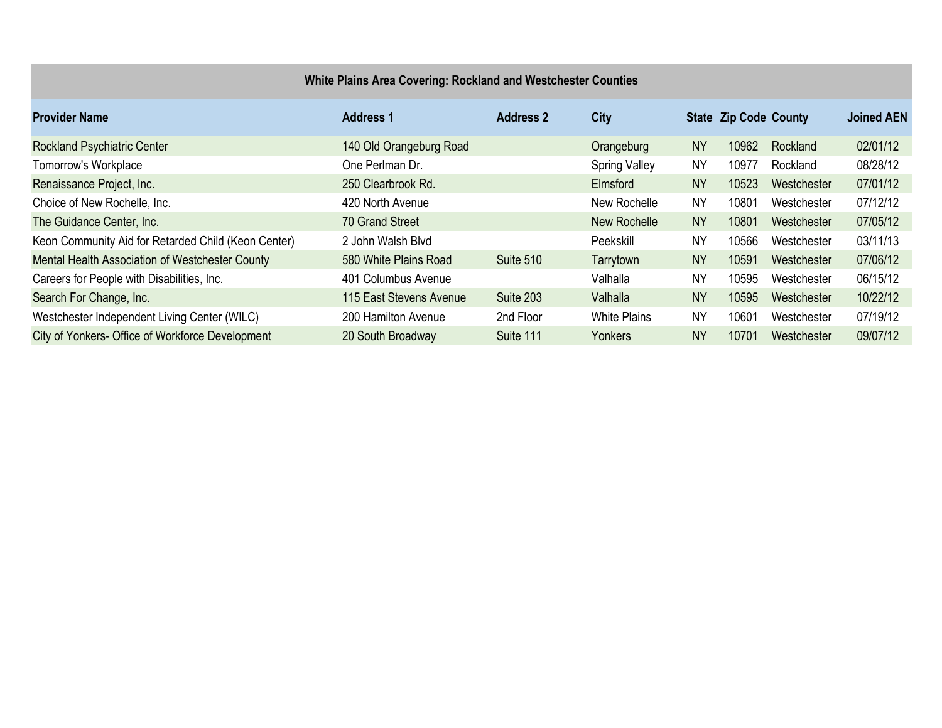### **White Plains Area Covering: Rockland and Westchester Counties**

| <b>Provider Name</b>                                | <b>Address 1</b>        | <b>Address 2</b> | <u>City</u>          |           | <b>State Zip Code County</b> |             | <b>Joined AEN</b> |
|-----------------------------------------------------|-------------------------|------------------|----------------------|-----------|------------------------------|-------------|-------------------|
| <b>Rockland Psychiatric Center</b>                  | 140 Old Orangeburg Road |                  | Orangeburg           | <b>NY</b> | 10962                        | Rockland    | 02/01/12          |
| Tomorrow's Workplace                                | One Perlman Dr.         |                  | <b>Spring Valley</b> | <b>NY</b> | 10977                        | Rockland    | 08/28/12          |
| Renaissance Project, Inc.                           | 250 Clearbrook Rd.      |                  | Elmsford             | <b>NY</b> | 10523                        | Westchester | 07/01/12          |
| Choice of New Rochelle, Inc.                        | 420 North Avenue        |                  | New Rochelle         | <b>NY</b> | 10801                        | Westchester | 07/12/12          |
| The Guidance Center, Inc.                           | 70 Grand Street         |                  | New Rochelle         | <b>NY</b> | 10801                        | Westchester | 07/05/12          |
| Keon Community Aid for Retarded Child (Keon Center) | 2 John Walsh Blvd       |                  | Peekskill            | <b>NY</b> | 10566                        | Westchester | 03/11/13          |
| Mental Health Association of Westchester County     | 580 White Plains Road   | Suite 510        | Tarrytown            | <b>NY</b> | 10591                        | Westchester | 07/06/12          |
| Careers for People with Disabilities, Inc.          | 401 Columbus Avenue     |                  | Valhalla             | <b>NY</b> | 10595                        | Westchester | 06/15/12          |
| Search For Change, Inc.                             | 115 East Stevens Avenue | Suite 203        | Valhalla             | <b>NY</b> | 10595                        | Westchester | 10/22/12          |
| Westchester Independent Living Center (WILC)        | 200 Hamilton Avenue     | 2nd Floor        | <b>White Plains</b>  | <b>NY</b> | 10601                        | Westchester | 07/19/12          |
| City of Yonkers- Office of Workforce Development    | 20 South Broadway       | Suite 111        | Yonkers              | <b>NY</b> | 10701                        | Westchester | 09/07/12          |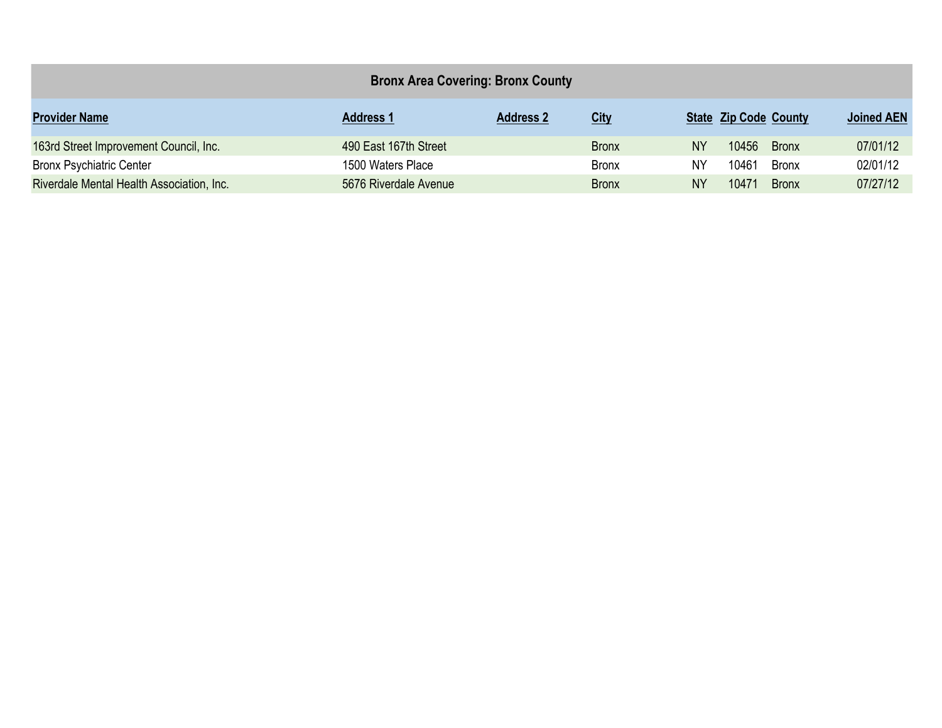| <b>Bronx Area Covering: Bronx County</b>  |                       |                  |              |           |                              |              |                   |  |  |  |
|-------------------------------------------|-----------------------|------------------|--------------|-----------|------------------------------|--------------|-------------------|--|--|--|
| <b>Provider Name</b>                      | <b>Address 1</b>      | <b>Address 2</b> | <u>City</u>  |           | <b>State Zip Code County</b> |              | <b>Joined AEN</b> |  |  |  |
| 163rd Street Improvement Council, Inc.    | 490 East 167th Street |                  | <b>Bronx</b> | <b>NY</b> | 10456                        | <b>Bronx</b> | 07/01/12          |  |  |  |
| <b>Bronx Psychiatric Center</b>           | 1500 Waters Place     |                  | <b>Bronx</b> | ΝY        | 10461                        | <b>Bronx</b> | 02/01/12          |  |  |  |
| Riverdale Mental Health Association, Inc. | 5676 Riverdale Avenue |                  | <b>Bronx</b> | <b>NY</b> | 10471                        | <b>Bronx</b> | 07/27/12          |  |  |  |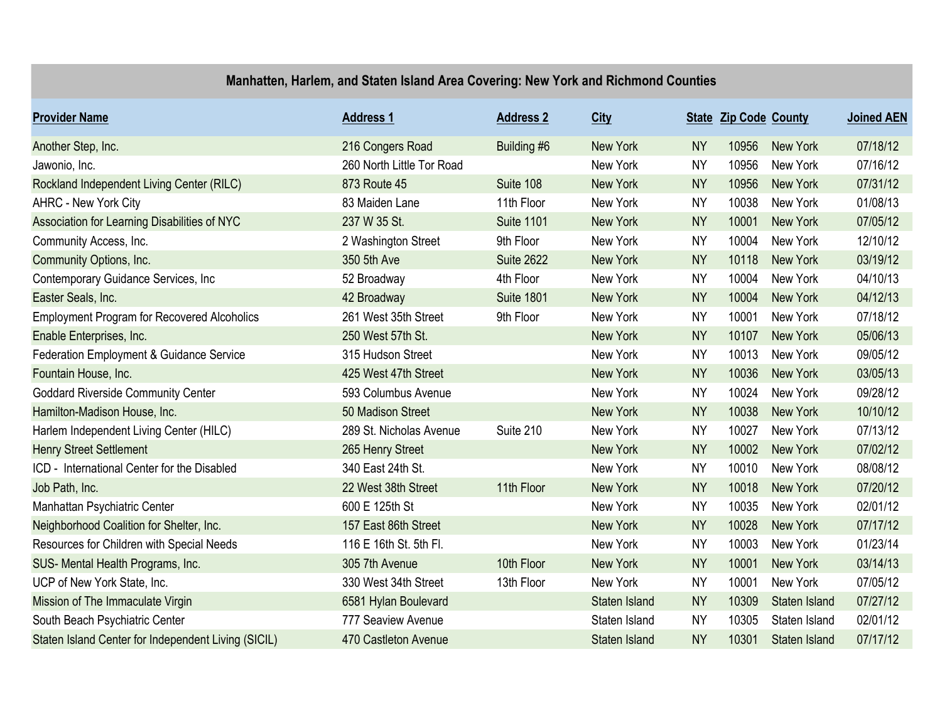# **Manhatten, Harlem, and Staten Island Area Covering: New York and Richmond Counties**

| <b>Provider Name</b>                                | <b>Address 1</b>          | <b>Address 2</b>  | <b>City</b>     |           | <b>State Zip Code County</b> |                 | <b>Joined AEN</b> |
|-----------------------------------------------------|---------------------------|-------------------|-----------------|-----------|------------------------------|-----------------|-------------------|
| Another Step, Inc.                                  | 216 Congers Road          | Building #6       | New York        | <b>NY</b> | 10956                        | <b>New York</b> | 07/18/12          |
| Jawonio, Inc.                                       | 260 North Little Tor Road |                   | New York        | <b>NY</b> | 10956                        | New York        | 07/16/12          |
| Rockland Independent Living Center (RILC)           | 873 Route 45              | Suite 108         | <b>New York</b> | <b>NY</b> | 10956                        | <b>New York</b> | 07/31/12          |
| <b>AHRC - New York City</b>                         | 83 Maiden Lane            | 11th Floor        | New York        | <b>NY</b> | 10038                        | New York        | 01/08/13          |
| Association for Learning Disabilities of NYC        | 237 W 35 St.              | <b>Suite 1101</b> | <b>New York</b> | <b>NY</b> | 10001                        | <b>New York</b> | 07/05/12          |
| Community Access, Inc.                              | 2 Washington Street       | 9th Floor         | New York        | <b>NY</b> | 10004                        | New York        | 12/10/12          |
| Community Options, Inc.                             | 350 5th Ave               | <b>Suite 2622</b> | <b>New York</b> | <b>NY</b> | 10118                        | <b>New York</b> | 03/19/12          |
| Contemporary Guidance Services, Inc.                | 52 Broadway               | 4th Floor         | New York        | <b>NY</b> | 10004                        | New York        | 04/10/13          |
| Easter Seals, Inc.                                  | 42 Broadway               | <b>Suite 1801</b> | <b>New York</b> | <b>NY</b> | 10004                        | <b>New York</b> | 04/12/13          |
| <b>Employment Program for Recovered Alcoholics</b>  | 261 West 35th Street      | 9th Floor         | New York        | <b>NY</b> | 10001                        | New York        | 07/18/12          |
| Enable Enterprises, Inc.                            | 250 West 57th St.         |                   | <b>New York</b> | <b>NY</b> | 10107                        | <b>New York</b> | 05/06/13          |
| <b>Federation Employment &amp; Guidance Service</b> | 315 Hudson Street         |                   | New York        | <b>NY</b> | 10013                        | New York        | 09/05/12          |
| Fountain House, Inc.                                | 425 West 47th Street      |                   | <b>New York</b> | <b>NY</b> | 10036                        | <b>New York</b> | 03/05/13          |
| <b>Goddard Riverside Community Center</b>           | 593 Columbus Avenue       |                   | New York        | <b>NY</b> | 10024                        | New York        | 09/28/12          |
| Hamilton-Madison House, Inc.                        | 50 Madison Street         |                   | <b>New York</b> | <b>NY</b> | 10038                        | <b>New York</b> | 10/10/12          |
| Harlem Independent Living Center (HILC)             | 289 St. Nicholas Avenue   | Suite 210         | New York        | <b>NY</b> | 10027                        | New York        | 07/13/12          |
| <b>Henry Street Settlement</b>                      | 265 Henry Street          |                   | <b>New York</b> | <b>NY</b> | 10002                        | <b>New York</b> | 07/02/12          |
| ICD - International Center for the Disabled         | 340 East 24th St.         |                   | New York        | <b>NY</b> | 10010                        | New York        | 08/08/12          |
| Job Path, Inc.                                      | 22 West 38th Street       | 11th Floor        | <b>New York</b> | <b>NY</b> | 10018                        | <b>New York</b> | 07/20/12          |
| Manhattan Psychiatric Center                        | 600 E 125th St            |                   | New York        | <b>NY</b> | 10035                        | New York        | 02/01/12          |
| Neighborhood Coalition for Shelter, Inc.            | 157 East 86th Street      |                   | <b>New York</b> | <b>NY</b> | 10028                        | <b>New York</b> | 07/17/12          |
| Resources for Children with Special Needs           | 116 E 16th St. 5th Fl.    |                   | New York        | <b>NY</b> | 10003                        | New York        | 01/23/14          |
| SUS- Mental Health Programs, Inc.                   | 305 7th Avenue            | 10th Floor        | <b>New York</b> | <b>NY</b> | 10001                        | <b>New York</b> | 03/14/13          |
| UCP of New York State, Inc.                         | 330 West 34th Street      | 13th Floor        | New York        | <b>NY</b> | 10001                        | New York        | 07/05/12          |
| Mission of The Immaculate Virgin                    | 6581 Hylan Boulevard      |                   | Staten Island   | <b>NY</b> | 10309                        | Staten Island   | 07/27/12          |
| South Beach Psychiatric Center                      | 777 Seaview Avenue        |                   | Staten Island   | <b>NY</b> | 10305                        | Staten Island   | 02/01/12          |
| Staten Island Center for Independent Living (SICIL) | 470 Castleton Avenue      |                   | Staten Island   | <b>NY</b> | 10301                        | Staten Island   | 07/17/12          |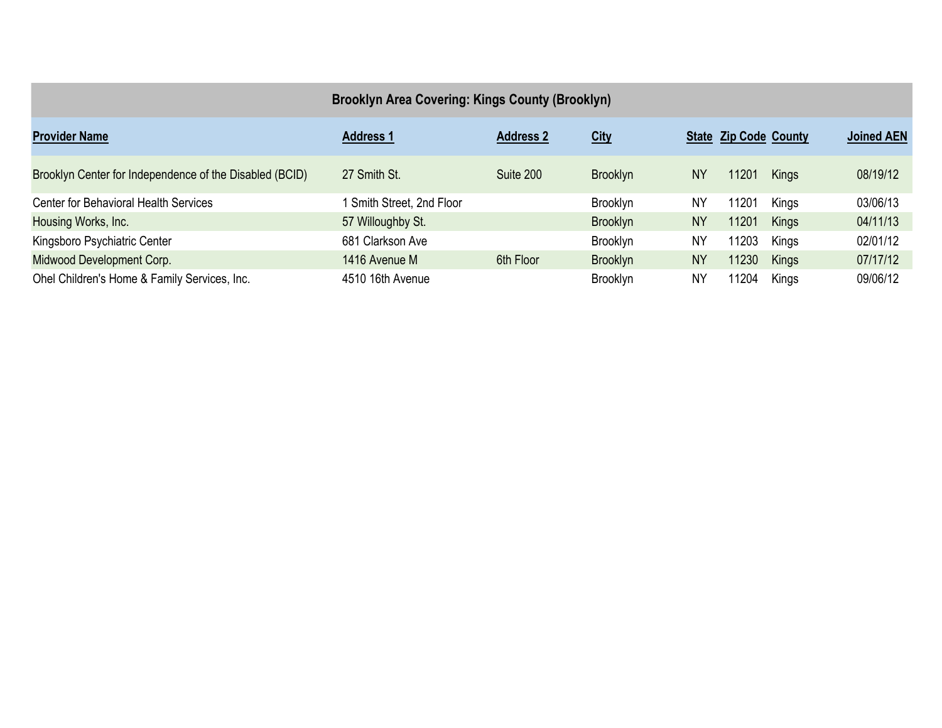| <b>Brooklyn Area Covering: Kings County (Brooklyn)</b>  |                           |                  |                 |           |                              |       |                   |
|---------------------------------------------------------|---------------------------|------------------|-----------------|-----------|------------------------------|-------|-------------------|
| <b>Provider Name</b>                                    | <b>Address 1</b>          | <b>Address 2</b> | <u>City</u>     |           | <b>State Zip Code County</b> |       | <b>Joined AEN</b> |
| Brooklyn Center for Independence of the Disabled (BCID) | 27 Smith St.              | Suite 200        | <b>Brooklyn</b> | <b>NY</b> | 1201                         | Kings | 08/19/12          |
| <b>Center for Behavioral Health Services</b>            | 1 Smith Street, 2nd Floor |                  | Brooklyn        | <b>NY</b> | 1201                         | Kings | 03/06/13          |
| Housing Works, Inc.                                     | 57 Willoughby St.         |                  | Brooklyn        | <b>NY</b> | 11201                        | Kings | 04/11/13          |
| Kingsboro Psychiatric Center                            | 681 Clarkson Ave          |                  | Brooklyn        | <b>NY</b> | 1203                         | Kings | 02/01/12          |
| Midwood Development Corp.                               | 1416 Avenue M             | 6th Floor        | Brooklyn        | <b>NY</b> | 11230                        | Kings | 07/17/12          |
| Ohel Children's Home & Family Services, Inc.            | 4510 16th Avenue          |                  | Brooklyn        | <b>NY</b> | 1204                         | Kings | 09/06/12          |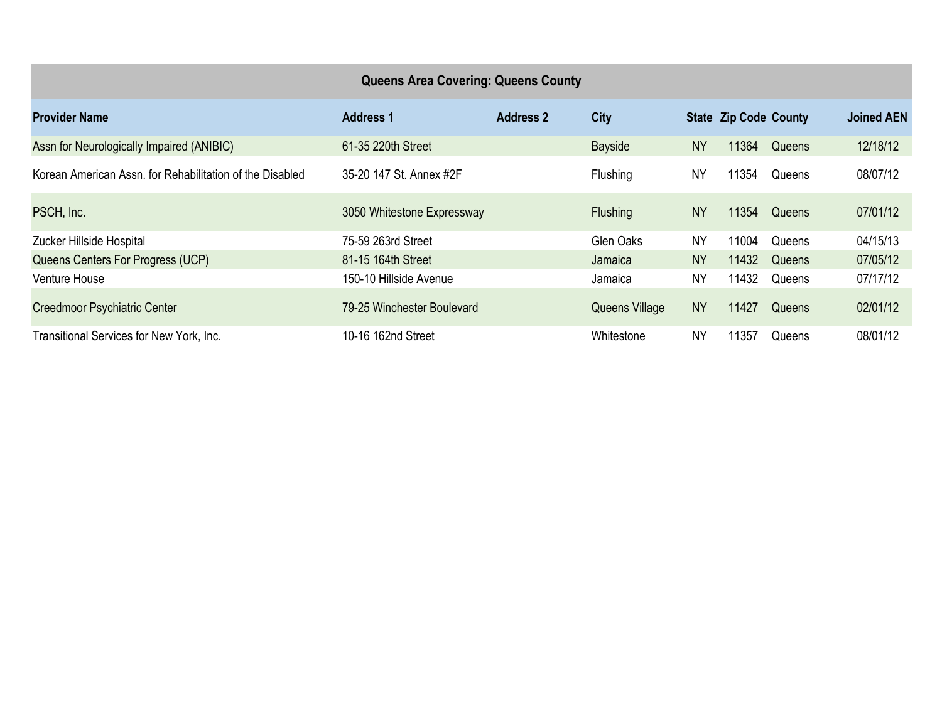| <b>Queens Area Covering: Queens County</b>               |                            |                  |                       |           |                              |        |                   |  |
|----------------------------------------------------------|----------------------------|------------------|-----------------------|-----------|------------------------------|--------|-------------------|--|
| <b>Provider Name</b>                                     | <b>Address 1</b>           | <b>Address 2</b> | <b>City</b>           |           | <b>State Zip Code County</b> |        | <b>Joined AEN</b> |  |
| Assn for Neurologically Impaired (ANIBIC)                | 61-35 220th Street         |                  | <b>Bayside</b>        | <b>NY</b> | 11364                        | Queens | 12/18/12          |  |
| Korean American Assn, for Rehabilitation of the Disabled | 35-20 147 St. Annex #2F    |                  | Flushing              | ΝY        | 1354                         | Queens | 08/07/12          |  |
| PSCH, Inc.                                               | 3050 Whitestone Expressway |                  | Flushing              | <b>NY</b> | 11354                        | Queens | 07/01/12          |  |
| Zucker Hillside Hospital                                 | 75-59 263rd Street         |                  | Glen Oaks             | <b>NY</b> | 11004                        | Queens | 04/15/13          |  |
| Queens Centers For Progress (UCP)                        | 81-15 164th Street         |                  | Jamaica               | <b>NY</b> | 11432                        | Queens | 07/05/12          |  |
| Venture House                                            | 150-10 Hillside Avenue     |                  | Jamaica               | <b>NY</b> | 11432                        | Queens | 07/17/12          |  |
| <b>Creedmoor Psychiatric Center</b>                      | 79-25 Winchester Boulevard |                  | <b>Queens Village</b> | <b>NY</b> | 11427                        | Queens | 02/01/12          |  |
| Transitional Services for New York, Inc.                 | 10-16 162nd Street         |                  | Whitestone            | <b>NY</b> | 11357                        | Queens | 08/01/12          |  |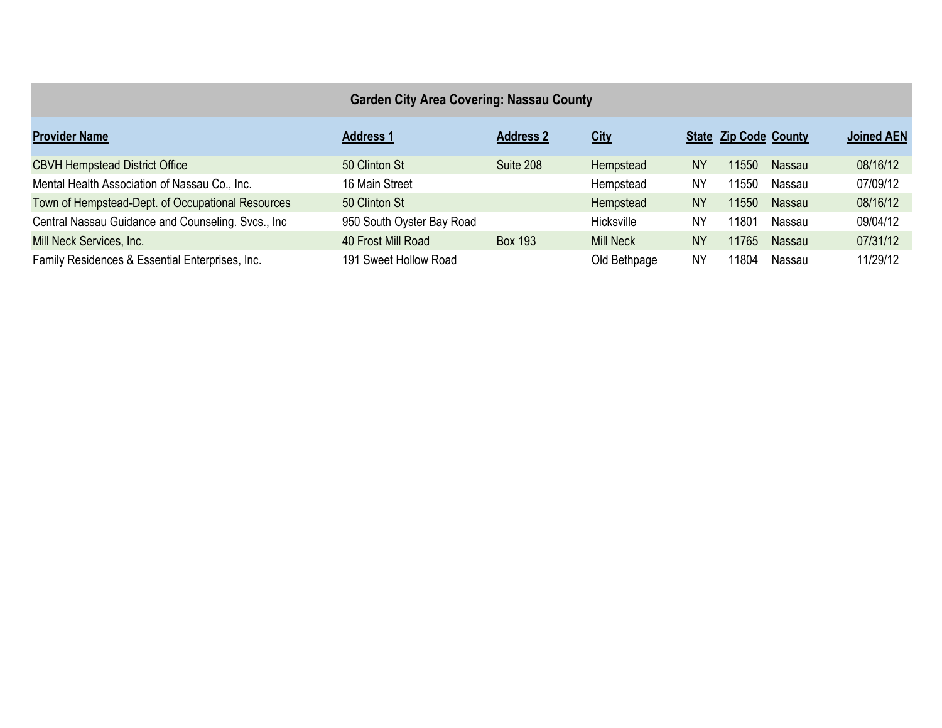| <b>Garden City Area Covering: Nassau County</b>     |                           |                  |                   |           |                              |        |                   |
|-----------------------------------------------------|---------------------------|------------------|-------------------|-----------|------------------------------|--------|-------------------|
| <b>Provider Name</b>                                | <b>Address 1</b>          | <b>Address 2</b> | <u>City</u>       |           | <b>State Zip Code County</b> |        | <b>Joined AEN</b> |
| <b>CBVH Hempstead District Office</b>               | 50 Clinton St             | Suite 208        | Hempstead         | <b>NY</b> | 11550                        | Nassau | 08/16/12          |
| Mental Health Association of Nassau Co., Inc.       | 16 Main Street            |                  | Hempstead         | <b>NY</b> | 1550                         | Nassau | 07/09/12          |
| Town of Hempstead-Dept. of Occupational Resources   | 50 Clinton St             |                  | Hempstead         | <b>NY</b> | 11550                        | Nassau | 08/16/12          |
| Central Nassau Guidance and Counseling. Svcs., Inc. | 950 South Oyster Bay Road |                  | <b>Hicksville</b> | <b>NY</b> | 1801                         | Nassau | 09/04/12          |
| Mill Neck Services, Inc.                            | 40 Frost Mill Road        | <b>Box 193</b>   | <b>Mill Neck</b>  | <b>NY</b> | 1765                         | Nassau | 07/31/12          |
| Family Residences & Essential Enterprises, Inc.     | 191 Sweet Hollow Road     |                  | Old Bethpage      | <b>NY</b> | 1804                         | Nassau | 11/29/12          |